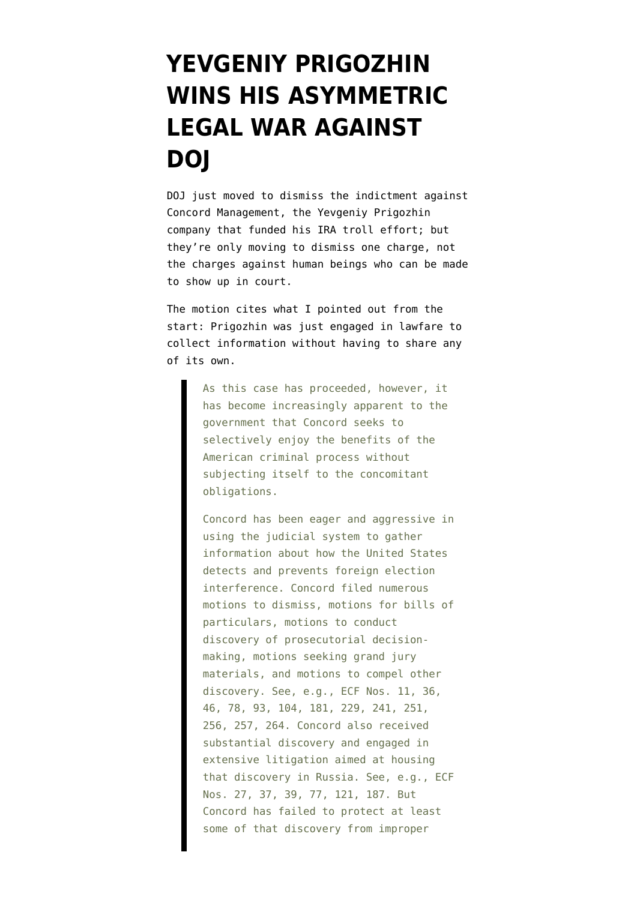## **[YEVGENIY PRIGOZHIN](https://www.emptywheel.net/2020/03/16/yevgeniy-prigozhin-wins-his-asymmetric-legal-war-against-doj/) [WINS HIS ASYMMETRIC](https://www.emptywheel.net/2020/03/16/yevgeniy-prigozhin-wins-his-asymmetric-legal-war-against-doj/) [LEGAL WAR AGAINST](https://www.emptywheel.net/2020/03/16/yevgeniy-prigozhin-wins-his-asymmetric-legal-war-against-doj/) [DOJ](https://www.emptywheel.net/2020/03/16/yevgeniy-prigozhin-wins-his-asymmetric-legal-war-against-doj/)**

DOJ just [moved](https://www.documentcloud.org/documents/6811273-200316-Concord-Motion-to-Dismiss.html) to dismiss the indictment against Concord Management, the Yevgeniy Prigozhin company that funded his IRA troll effort; but they're only moving to dismiss one charge, not the charges against human beings who can be made to show up in court.

The motion cites what I pointed out from the start: Prigozhin was just engaged in lawfare to collect information without having to share any of its own.

> As this case has proceeded, however, it has become increasingly apparent to the government that Concord seeks to selectively enjoy the benefits of the American criminal process without subjecting itself to the concomitant obligations.

Concord has been eager and aggressive in using the judicial system to gather information about how the United States detects and prevents foreign election interference. Concord filed numerous motions to dismiss, motions for bills of particulars, motions to conduct discovery of prosecutorial decisionmaking, motions seeking grand jury materials, and motions to compel other discovery. See, e.g., ECF Nos. 11, 36, 46, 78, 93, 104, 181, 229, 241, 251, 256, 257, 264. Concord also received substantial discovery and engaged in extensive litigation aimed at housing that discovery in Russia. See, e.g., ECF Nos. 27, 37, 39, 77, 121, 187. But Concord has failed to protect at least some of that discovery from improper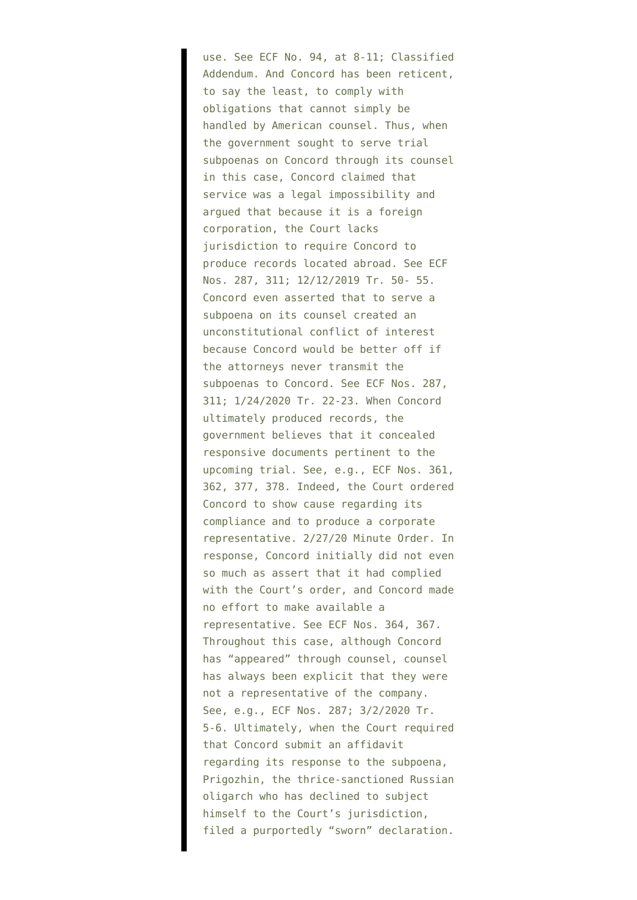use. See ECF No. 94, at 8-11; Classified Addendum. And Concord has been reticent, to say the least, to comply with obligations that cannot simply be handled by American counsel. Thus, when the government sought to serve trial subpoenas on Concord through its counsel in this case, Concord claimed that service was a legal impossibility and argued that because it is a foreign corporation, the Court lacks jurisdiction to require Concord to produce records located abroad. See ECF Nos. 287, 311; 12/12/2019 Tr. 50- 55. Concord even asserted that to serve a subpoena on its counsel created an unconstitutional conflict of interest because Concord would be better off if the attorneys never transmit the subpoenas to Concord. See ECF Nos. 287, 311; 1/24/2020 Tr. 22-23. When Concord ultimately produced records, the government believes that it concealed responsive documents pertinent to the upcoming trial. See, e.g., ECF Nos. 361, 362, 377, 378. Indeed, the Court ordered Concord to show cause regarding its compliance and to produce a corporate representative. 2/27/20 Minute Order. In response, Concord initially did not even so much as assert that it had complied with the Court's order, and Concord made no effort to make available a representative. See ECF Nos. 364, 367. Throughout this case, although Concord has "appeared" through counsel, counsel has always been explicit that they were not a representative of the company. See, e.g., ECF Nos. 287; 3/2/2020 Tr. 5-6. Ultimately, when the Court required that Concord submit an affidavit regarding its response to the subpoena, Prigozhin, the thrice-sanctioned Russian oligarch who has declined to subject himself to the Court's jurisdiction, filed a purportedly "sworn" declaration.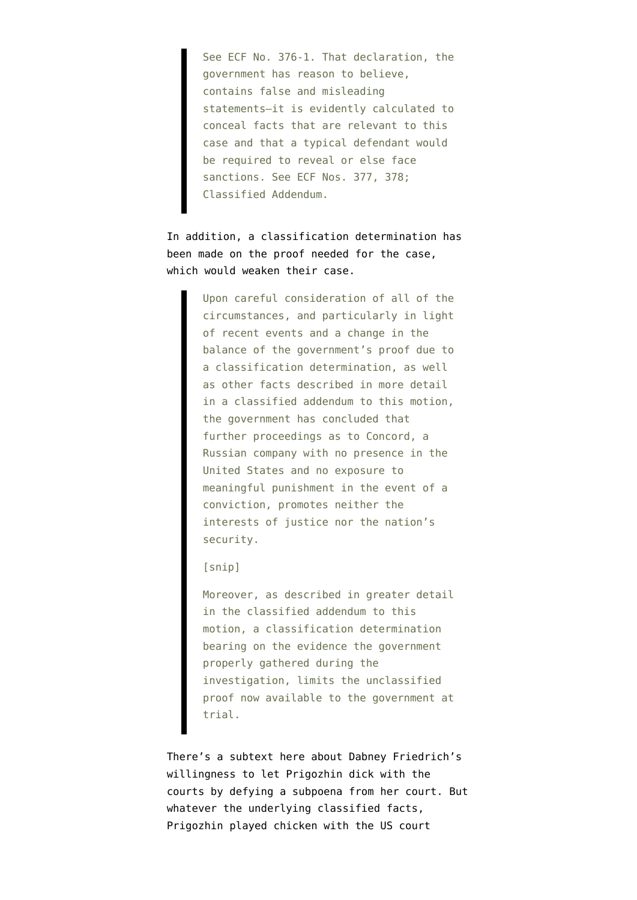See ECF No. 376-1. That declaration, the government has reason to believe, contains false and misleading statements—it is evidently calculated to conceal facts that are relevant to this case and that a typical defendant would be required to reveal or else face sanctions. See ECF Nos. 377, 378; Classified Addendum.

In addition, a classification determination has been made on the proof needed for the case, which would weaken their case.

> Upon careful consideration of all of the circumstances, and particularly in light of recent events and a change in the balance of the government's proof due to a classification determination, as well as other facts described in more detail in a classified addendum to this motion, the government has concluded that further proceedings as to Concord, a Russian company with no presence in the United States and no exposure to meaningful punishment in the event of a conviction, promotes neither the interests of justice nor the nation's security.

## [snip]

Moreover, as described in greater detail in the classified addendum to this motion, a classification determination bearing on the evidence the government properly gathered during the investigation, limits the unclassified proof now available to the government at trial.

There's a subtext here about Dabney Friedrich's willingness to let Prigozhin dick with the courts by defying a subpoena from her court. But whatever the underlying classified facts, Prigozhin played chicken with the US court